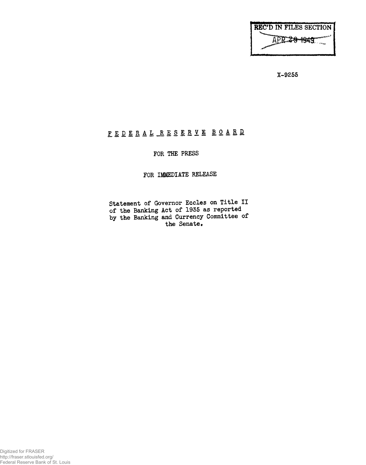| <b>REC'D IN FILES SECTION  </b> |  |
|---------------------------------|--|
| IPR ZAMKAR                      |  |
|                                 |  |
|                                 |  |

**X-9255**

## FEDERAL RESERVE BOARD

## **FOR THE PRESS**

## **FOR IMMEDIATE RELEASE**

**Statement of Governor Eccles on Title II of the Banking Act of 1935 as reported by the Banking and Currency Committee of the Senate,**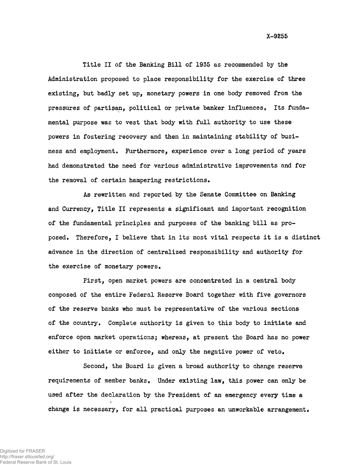X-9255

Title II of the Banking Bill of 1935 as recommended by the Administration proposed to place responsibility for the exercise of three existing, but badly set up, monetary powers in one body removed from the pressures of partisan, political or private banker influences, Its fundamental purpose was to vest that body with full authority to use these powers in fostering recovery and then in maintaining stability of business and employment. Furthermore, experience over a long period of years had demonstrated the need for various administrative improvements and for the removal of certain hampering restrictions.

As rewritten and reported by the Senate Committee on Banking and Currency, Title II represents a significant and important recognition of the fundamental principles and purposes of the banking bill as proposed. Therefore, I believe that in its most vital respects it is a distinct advance in the direction of centralized responsibility and authority for the exercise of monetary powers.

First, open market powers are concentrated in a central body composed of the entire Federal Reserve Board together with five governors of the reserve banks who must be representative of the various sections of the country. Complete authority is given to this body to initiate and enforce open market operations; whereas, at present the Board has no power either to initiate or enforce, and only the negative power of veto.

Second, the Board is given a broad authority to change reserve requirements of member banks. Under existing law, this power can only be used after the declaration by the President of an emergency every time a change is necessary, for all practical purposes an unworkable arrangement.